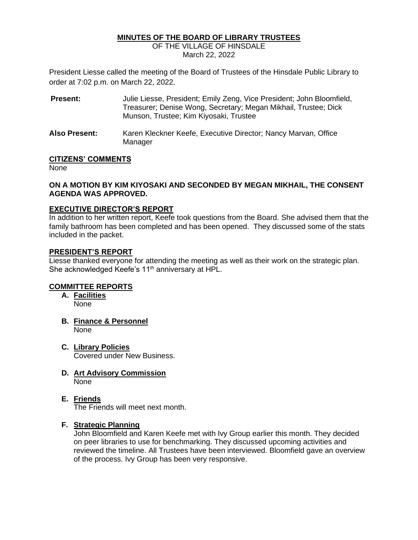### **MINUTES OF THE BOARD OF LIBRARY TRUSTEES**

OF THE VILLAGE OF HINSDALE March 22, 2022

President Liesse called the meeting of the Board of Trustees of the Hinsdale Public Library to order at 7:02 p.m. on March 22, 2022.

**Present:** Julie Liesse, President; Emily Zeng, Vice President; John Bloomfield, Treasurer; Denise Wong, Secretary; Megan Mikhail, Trustee; Dick Munson, Trustee; Kim Kiyosaki, Trustee **Also Present:** Karen Kleckner Keefe, Executive Director; Nancy Marvan, Office Manager

### **CITIZENS' COMMENTS**

None

### **ON A MOTION BY KIM KIYOSAKI AND SECONDED BY MEGAN MIKHAIL, THE CONSENT AGENDA WAS APPROVED.**

### **EXECUTIVE DIRECTOR'S REPORT**

In addition to her written report, Keefe took questions from the Board. She advised them that the family bathroom has been completed and has been opened. They discussed some of the stats included in the packet.

### **PRESIDENT'S REPORT**

Liesse thanked everyone for attending the meeting as well as their work on the strategic plan. She acknowledged Keefe's 11<sup>th</sup> anniversary at HPL.

# **COMMITTEE REPORTS**

- **A. Facilities** None
- **B. Finance & Personnel** None
- **C. Library Policies** Covered under New Business.
- **D. Art Advisory Commission** None
- **E. Friends** The Friends will meet next month.

#### **F. Strategic Planning**

John Bloomfield and Karen Keefe met with Ivy Group earlier this month. They decided on peer libraries to use for benchmarking. They discussed upcoming activities and reviewed the timeline. All Trustees have been interviewed. Bloomfield gave an overview of the process. Ivy Group has been very responsive.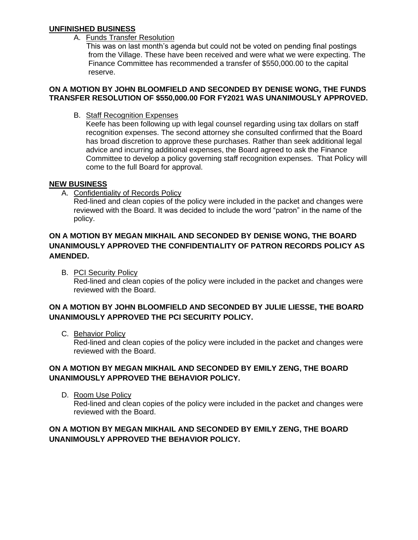# **UNFINISHED BUSINESS**

A. Funds Transfer Resolution

This was on last month's agenda but could not be voted on pending final postings from the Village. These have been received and were what we were expecting. The Finance Committee has recommended a transfer of \$550,000.00 to the capital reserve.

### **ON A MOTION BY JOHN BLOOMFIELD AND SECONDED BY DENISE WONG, THE FUNDS TRANSFER RESOLUTION OF \$550,000.00 FOR FY2021 WAS UNANIMOUSLY APPROVED.**

B. Staff Recognition Expenses

Keefe has been following up with legal counsel regarding using tax dollars on staff recognition expenses. The second attorney she consulted confirmed that the Board has broad discretion to approve these purchases. Rather than seek additional legal advice and incurring additional expenses, the Board agreed to ask the Finance Committee to develop a policy governing staff recognition expenses. That Policy will come to the full Board for approval.

# **NEW BUSINESS**

A. Confidentiality of Records Policy

Red-lined and clean copies of the policy were included in the packet and changes were reviewed with the Board. It was decided to include the word "patron" in the name of the policy.

# **ON A MOTION BY MEGAN MIKHAIL AND SECONDED BY DENISE WONG, THE BOARD UNANIMOUSLY APPROVED THE CONFIDENTIALITY OF PATRON RECORDS POLICY AS AMENDED.**

B. PCI Security Policy Red-lined and clean copies of the policy were included in the packet and changes were reviewed with the Board.

# **ON A MOTION BY JOHN BLOOMFIELD AND SECONDED BY JULIE LIESSE, THE BOARD UNANIMOUSLY APPROVED THE PCI SECURITY POLICY.**

C. Behavior Policy

Red-lined and clean copies of the policy were included in the packet and changes were reviewed with the Board.

# **ON A MOTION BY MEGAN MIKHAIL AND SECONDED BY EMILY ZENG, THE BOARD UNANIMOUSLY APPROVED THE BEHAVIOR POLICY.**

D. Room Use Policy

Red-lined and clean copies of the policy were included in the packet and changes were reviewed with the Board.

# **ON A MOTION BY MEGAN MIKHAIL AND SECONDED BY EMILY ZENG, THE BOARD UNANIMOUSLY APPROVED THE BEHAVIOR POLICY.**